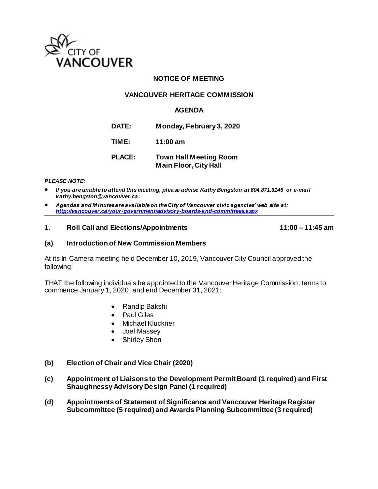

# **NOTICE OF MEETING**

# **VANCOUVER HERITAGE COMMISSION**

# **AGENDA**

**DATE: Monday, February 3, 2020**

**TIME: 11:00 am**

# **PLACE: Town Hall Meeting Room Main Floor, City Hall**

#### *PLEASE NOTE:*

- *If you are unable to attend this meeting, please advise Kathy Bengston at 604.871.6146 or e-mail kathy.bengston@vancouver.ca.*
- *Agendas and M inutes are available on the City of Vancouver civic agencies' web site at: <http://vancouver.ca/your-government/advisory-boards-and-committees.aspx>*

#### **1. Roll Call and Elections/Appointments 11:00 – 11:45 am**

### **(a) Introduction of New Commission Members**

At its In Camera meeting held December 10, 2019, Vancouver City Council approved the following:

THAT the following individuals be appointed to the Vancouver Heritage Commission, terms to commence January 1, 2020, and end December 31, 2021:

- Randip Bakshi
- Paul Giles
- Michael Kluckner
- Joel Massey
- Shirley Shen
- **(b) Election of Chair and Vice Chair (2020)**
- **(c) Appointment of Liaisons to the Development Permit Board (1 required) and First Shaughnessy Advisory Design Panel (1 required)**
- **(d) Appointments of Statement of Significance and Vancouver Heritage Register Subcommittee (5 required) and Awards Planning Subcommittee (3 required)**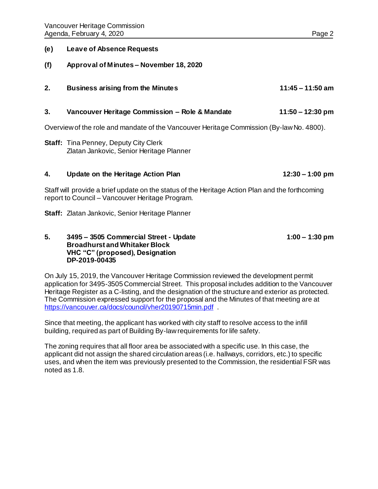### **(e) Leave of Absence Requests**

- **(f) Approval of Minutes – November 18, 2020**
- **2. Business arising from the Minutes 11:45 – 11:50 am**

### **3. Vancouver Heritage Commission – Role & Mandate 11:50 – 12:30 pm**

Overview of the role and mandate of the Vancouver Heritage Commission (By-law No. 4800).

**Staff:** Tina Penney, Deputy City Clerk Zlatan Jankovic, Senior Heritage Planner

#### **4. Update on the Heritage Action Plan 12:30 – 1:00 pm**

Staff will provide a brief update on the status of the Heritage Action Plan and the forthcoming report to Council – Vancouver Heritage Program.

**Staff:** Zlatan Jankovic, Senior Heritage Planner

### **5. 3495 – 3505 Commercial Street - Update 1:00 – 1:30 pm Broadhurst and Whitaker Block VHC "C" (proposed), Designation DP-2019-00435**

On July 15, 2019, the Vancouver Heritage Commission reviewed the development permit application for 3495-3505 Commercial Street. This proposal includes addition to the Vancouver Heritage Register as a C-listing, and the designation of the structure and exterior as protected. The Commission expressed support for the proposal and the Minutes of that meeting are at <https://vancouver.ca/docs/council/vher20190715min.pdf> .

Since that meeting, the applicant has worked with city staff to resolve access to the infill building, required as part of Building By-law requirements for life safety.

The zoning requires that all floor area be associated with a specific use. In this case, the applicant did not assign the shared circulation areas (i.e. hallways, corridors, etc.) to specific uses, and when the item was previously presented to the Commission, the residential FSR was noted as 1.8.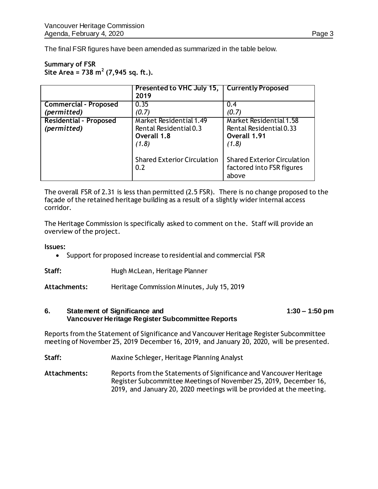The final FSR figures have been amended as summarized in the table below.

# **Summary of FSR Site Area = 738 m<sup>2</sup> (7,945 sq. ft.).**

|                                              | Presented to VHC July 15,   Currently Proposed<br>2019                    |                                                                                    |
|----------------------------------------------|---------------------------------------------------------------------------|------------------------------------------------------------------------------------|
| <b>Commercial - Proposed</b>                 | 0.35                                                                      | 0.4                                                                                |
| (permitted)                                  | (0.7)                                                                     | (0.7)                                                                              |
| <b>Residential - Proposed</b><br>(permitted) | Market Residential 1.49<br>Rental Residential 0.3<br>Overall 1.8<br>(1.8) | <b>Market Residential 1.58</b><br>Rental Residential 0.33<br>Overall 1.91<br>(1.8) |
|                                              | <b>Shared Exterior Circulation</b><br>0.2                                 | <b>Shared Exterior Circulation</b><br>factored into FSR figures<br>above           |

The overall FSR of 2.31 is less than permitted (2.5 FSR). There is no change proposed to the façade of the retained heritage building as a result of a slightly wider internal access corridor.

The Heritage Commission is specifically asked to comment on the. Staff will provide an overview of the project.

**Issues:** 

- Support for proposed increase to residential and commercial FSR
- **Staff:** Hugh McLean, Heritage Planner

**Attachments:** Heritage Commission Minutes, July 15, 2019

#### **6. Statement of Significance and 1:30 – 1:50 pm Vancouver Heritage Register Subcommittee Reports**

Reports from the Statement of Significance and Vancouver Heritage Register Subcommittee meeting of November 25, 2019 December 16, 2019, and January 20, 2020, will be presented.

**Staff:** Maxine Schleger, Heritage Planning Analyst

**Attachments:** Reports from the Statements of Significance and Vancouver Heritage Register Subcommittee Meetings of November 25, 2019, December 16, 2019, and January 20, 2020 meetings will be provided at the meeting.